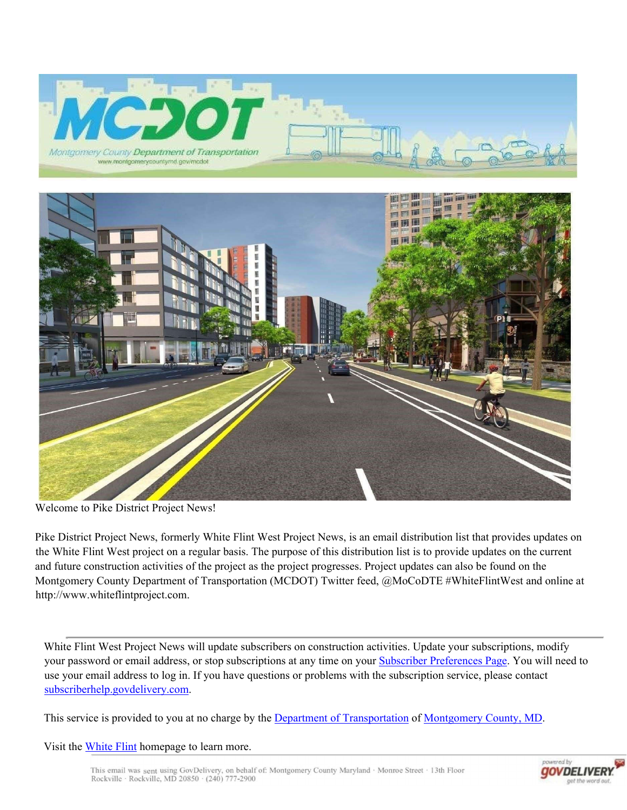



Welcome to Pike District Project News!

Pike District Project News, formerly White Flint West Project News, is an email distribution list that provides updates on the White Flint West project on a regular basis. The purpose of this distribution list is to provide updates on the current and future construction activities of the project as the project progresses. Project updates can also be found on the Montgomery County Department of Transportation (MCDOT) Twitter feed, @MoCoDTE #WhiteFlintWest and online at http://www.whiteflintproject.com.

White Flint West Project News will update subscribers on construction activities. Update your subscriptions, modify your password or email address, or stop subscriptions at any time on your Subscriber Preferences Page. You will need to use your email address to log in. If you have questions or problems with the subscription service, please contact subscriberhelp.govdelivery.com.

This service is provided to you at no charge by the Department of Transportation of Montgomery County, MD.

Visit the White Flint homepage to learn more.

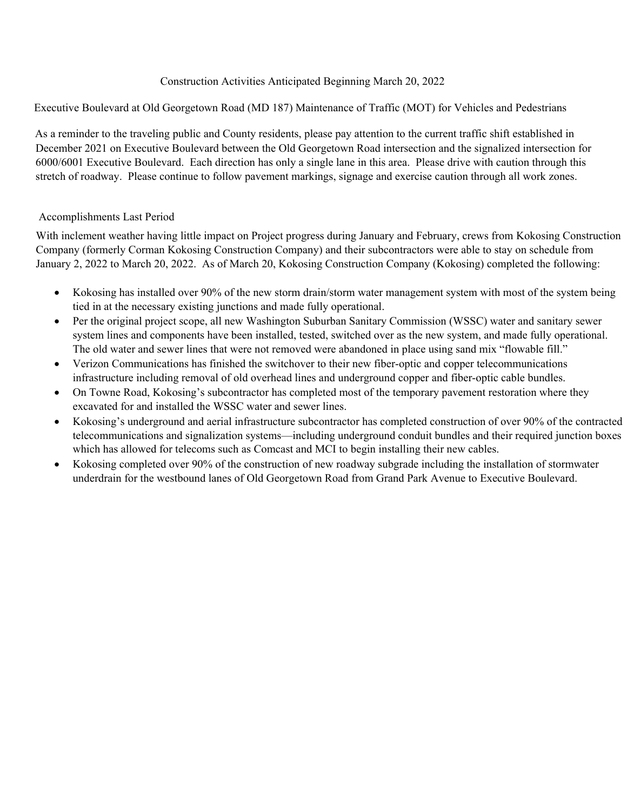## Construction Activities Anticipated Beginning March 20, 2022

Executive Boulevard at Old Georgetown Road (MD 187) Maintenance of Traffic (MOT) for Vehicles and Pedestrians

As a reminder to the traveling public and County residents, please pay attention to the current traffic shift established in December 2021 on Executive Boulevard between the Old Georgetown Road intersection and the signalized intersection for 6000/6001 Executive Boulevard. Each direction has only a single lane in this area. Please drive with caution through this stretch of roadway. Please continue to follow pavement markings, signage and exercise caution through all work zones.

## Accomplishments Last Period

With inclement weather having little impact on Project progress during January and February, crews from Kokosing Construction Company (formerly Corman Kokosing Construction Company) and their subcontractors were able to stay on schedule from January 2, 2022 to March 20, 2022. As of March 20, Kokosing Construction Company (Kokosing) completed the following:

- Kokosing has installed over 90% of the new storm drain/storm water management system with most of the system being tied in at the necessary existing junctions and made fully operational.
- Per the original project scope, all new Washington Suburban Sanitary Commission (WSSC) water and sanitary sewer system lines and components have been installed, tested, switched over as the new system, and made fully operational. The old water and sewer lines that were not removed were abandoned in place using sand mix "flowable fill."
- Verizon Communications has finished the switchover to their new fiber-optic and copper telecommunications infrastructure including removal of old overhead lines and underground copper and fiber-optic cable bundles.
- On Towne Road, Kokosing's subcontractor has completed most of the temporary pavement restoration where they excavated for and installed the WSSC water and sewer lines.
- Kokosing's underground and aerial infrastructure subcontractor has completed construction of over 90% of the contracted telecommunications and signalization systems—including underground conduit bundles and their required junction boxes which has allowed for telecoms such as Comcast and MCI to begin installing their new cables.
- Kokosing completed over 90% of the construction of new roadway subgrade including the installation of stormwater underdrain for the westbound lanes of Old Georgetown Road from Grand Park Avenue to Executive Boulevard.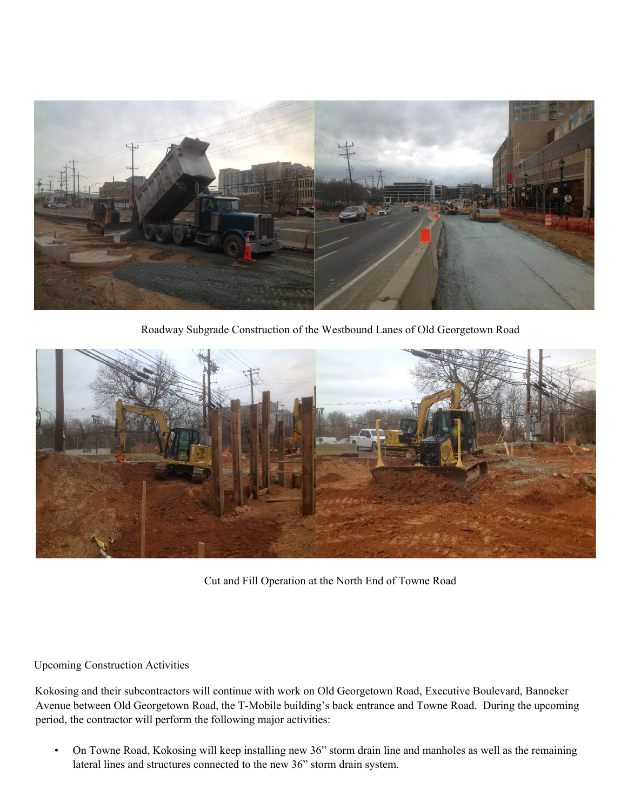

Roadway Subgrade Construction of the Westbound Lanes of Old Georgetown Road



Cut and Fill Operation at the North End of Towne Road

## Upcoming Construction Activities

Kokosing and their subcontractors will continue with work on Old Georgetown Road, Executive Boulevard, Banneker Avenue between Old Georgetown Road, the T-Mobile building's back entrance and Towne Road. During the upcoming period, the contractor will perform the following major activities:

• On Towne Road, Kokosing will keep installing new 36" storm drain line and manholes as well as the remaining lateral lines and structures connected to the new 36" storm drain system.